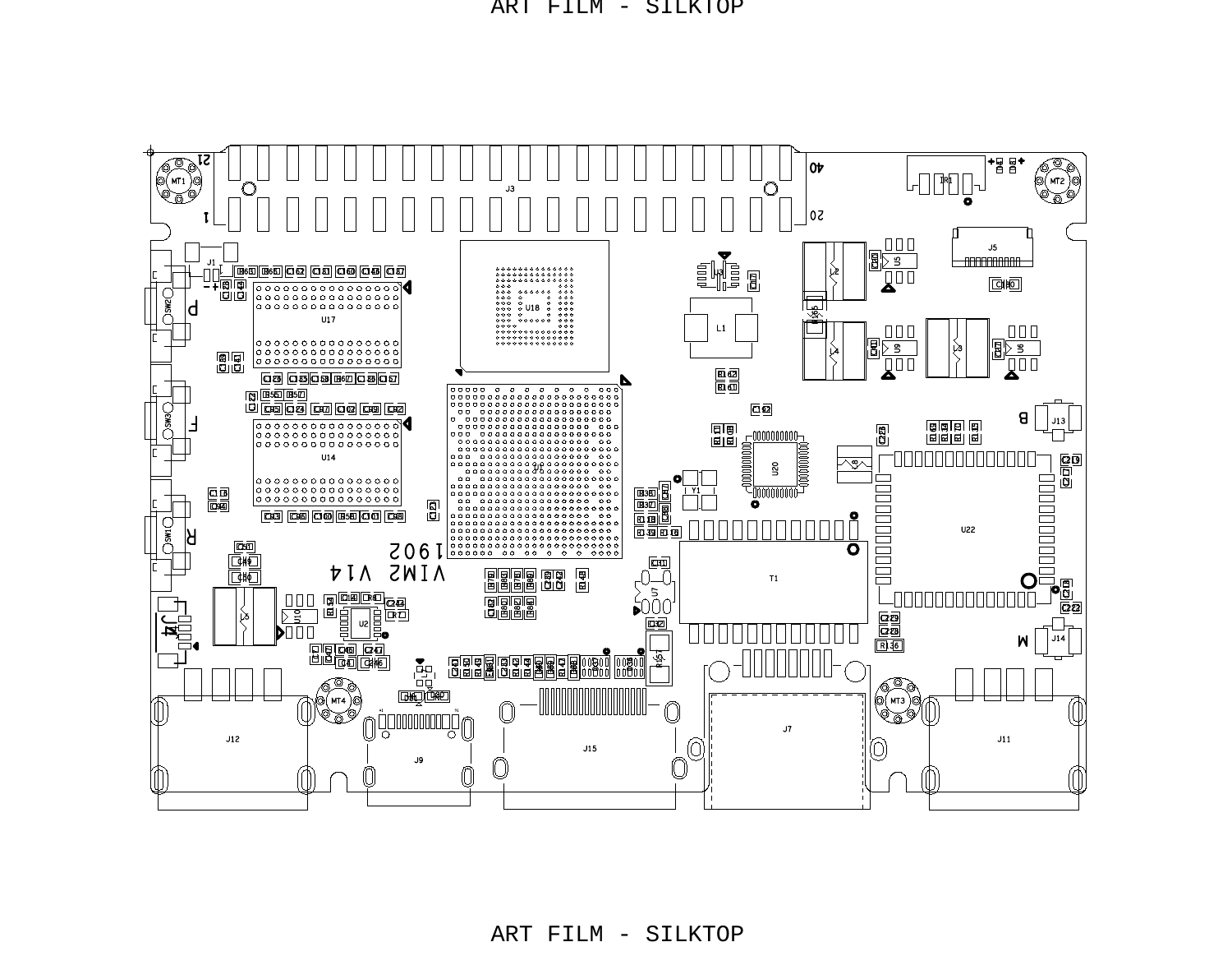

ART FILM - SILKTOP